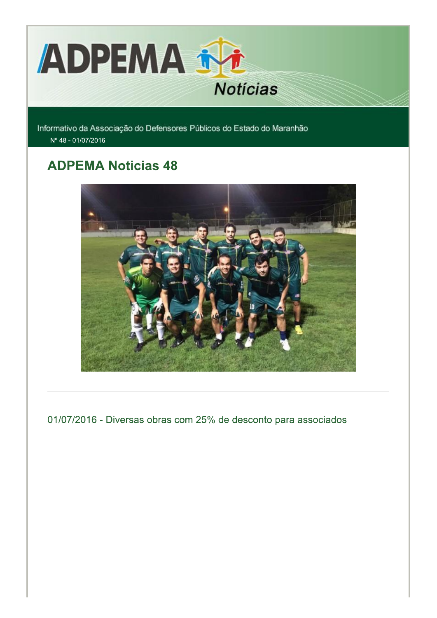

Informativo da Associação do Defensores Públicos do Estado do Maranhão Nº 48 - 01/07/2016

# **ADPEMA Noticias 48**



01/07/2016 - Diversas obras com 25% de desconto para associados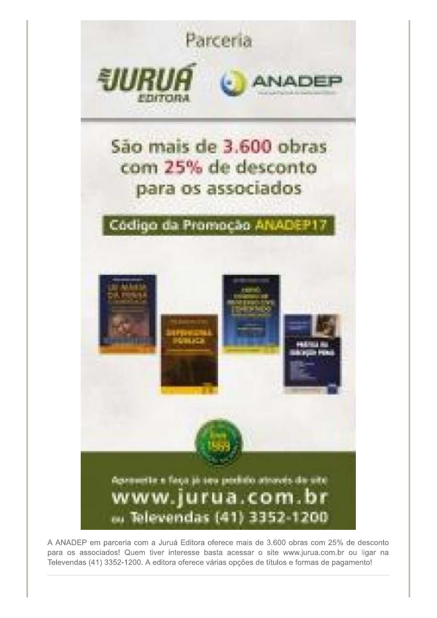

A ANADEP em parceria com a Juruá Editora oferece mais de 3.600 obras com 25% de desconto para os associados! Quem tiver interesse basta acessar o site www.jurua.com.br ou ligar na Televendas (41) 3352-1200. A editora oferece várias opções de títulos e formas de pagamento!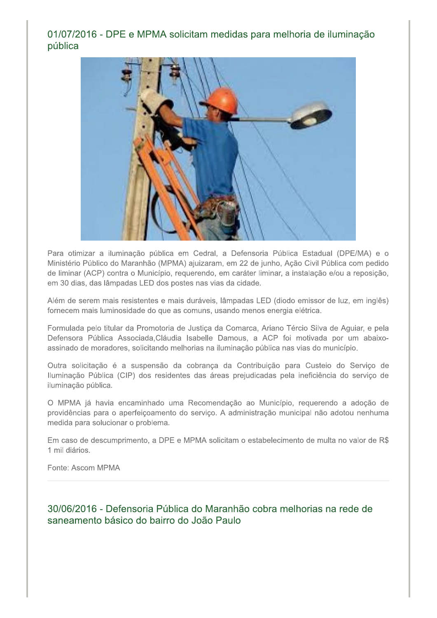## 01/07/2016 - DPE e MPMA solicitam medidas para melhoria de iluminação pública



Para otimizar a iluminação pública em Cedral, a Defensoria Pública Estadual (DPE/MA) e o Ministério Público do Maranhão (MPMA) ajuizaram, em 22 de junho, Ação Civil Pública com pedido de liminar (ACP) contra o Município, requerendo, em caráter liminar, a instalação e/ou a reposição, em 30 dias, das lâmpadas LED dos postes nas vias da cidade.

Além de serem mais resistentes e mais duráveis, lâmpadas LED (diodo emissor de luz, em inglês) fornecem mais luminosidade do que as comuns, usando menos energia elétrica.

Formulada pelo titular da Promotoria de Justiça da Comarca, Ariano Tércio Silva de Aguiar, e pela Defensora Pública Associada, Cláudia Isabelle Damous, a ACP foi motivada por um abaixoassinado de moradores, solicitando melhorias na iluminação pública nas vias do município.

Outra solicitação é a suspensão da cobrança da Contribuição para Custeio do Serviço de Iluminação Pública (CIP) dos residentes das áreas prejudicadas pela ineficiência do serviço de iluminação pública.

O MPMA já havia encaminhado uma Recomendação ao Município, requerendo a adoção de providências para o aperfeiçoamento do serviço. A administração municipal não adotou nenhuma medida para solucionar o problema.

Em caso de descumprimento, a DPE e MPMA solicitam o estabelecimento de multa no valor de R\$ 1 mil diários.

Fonte: Ascom MPMA

30/06/2016 - Defensoria Pública do Maranhão cobra melhorias na rede de saneamento básico do bairro do João Paulo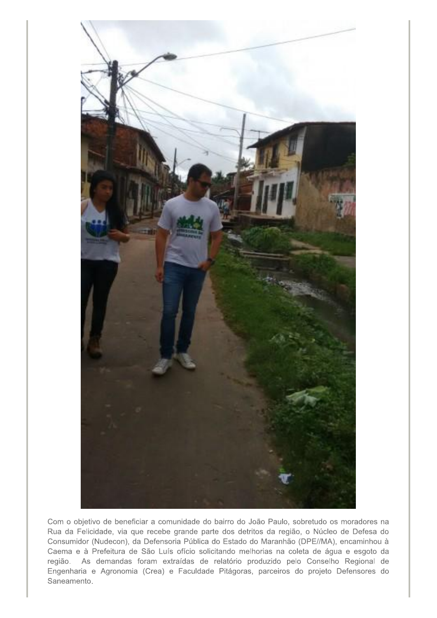

Com o objetivo de beneficiar a comunidade do bairro do João Paulo, sobretudo os moradores na Rua da Felicidade, via que recebe grande parte dos detritos da região, o Núcleo de Defesa do Consumidor (Nudecon), da Defensoria Pública do Estado do Maranhão (DPE//MA), encaminhou à Caema e à Prefeitura de São Luís ofício solicitando melhorias na coleta de água e esgoto da região. As demandas foram extraídas de relatório produzido pelo Conselho Regional de Engenharia e Agronomia (Crea) e Faculdade Pitágoras, parceiros do projeto Defensores do Saneamento.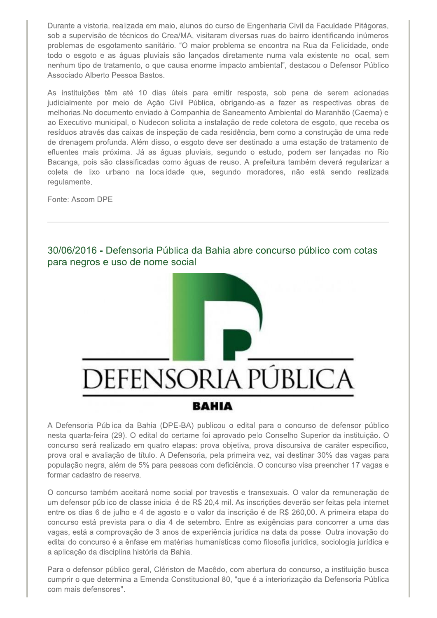Durante a vistoria, realizada em maio, alunos do curso de Engenharia Civil da Faculdade Pitágoras, sob a supervisão de técnicos do Crea/MA, visitaram diversas ruas do bairro identificando inúmeros problemas de esgotamento sanitário. "O maior problema se encontra na Rua da Felicidade, onde todo o esgoto e as águas pluviais são lançados diretamente numa vala existente no local, sem nenhum tipo de tratamento, o que causa enorme impacto ambiental", destacou o Defensor Público Associado Alberto Pessoa Bastos.

As instituições têm até 10 dias úteis para emitir resposta, sob pena de serem acionadas judicialmente por meio de Ação Civil Pública, obrigando-as a fazer as respectivas obras de melhorias. No documento enviado à Companhia de Saneamento Ambiental do Maranhão (Caema) e ao Executivo municipal, o Nudecon solicita a instalação de rede coletora de esgoto, que receba os resíduos através das caixas de inspeção de cada residência, bem como a construção de uma rede de drenagem profunda. Além disso, o esgoto deve ser destinado a uma estação de tratamento de efluentes mais próxima. Já as águas pluviais, segundo o estudo, podem ser lançadas no Rio Bacanga, pois são classificadas como águas de reuso. A prefeitura também deverá regularizar a coleta de lixo urbano na localidade que, segundo moradores, não está sendo realizada regulamente.

Fonte: Ascom DPE

30/06/2016 - Defensoria Pública da Bahia abre concurso público com cotas para negros e uso de nome social



A Defensoria Pública da Bahia (DPE-BA) publicou o edital para o concurso de defensor público nesta quarta-feira (29). O edital do certame foi aprovado pelo Conselho Superior da instituição. O concurso será realizado em quatro etapas: prova objetiva, prova discursiva de caráter específico, prova oral e avaliação de título. A Defensoria, pela primeira vez, vai destinar 30% das vagas para população negra, além de 5% para pessoas com deficiência. O concurso visa preencher 17 vagas e formar cadastro de reserva.

O concurso também aceitará nome social por travestis e transexuais. O valor da remuneração de um defensor público de classe inicial é de R\$ 20,4 mil. As inscrições deverão ser feitas pela internet entre os dias 6 de julho e 4 de agosto e o valor da inscrição é de R\$ 260,00. A primeira etapa do concurso está prevista para o dia 4 de setembro. Entre as exigências para concorrer a uma das vagas, está a comprovação de 3 anos de experiência jurídica na data da posse. Outra inovação do edital do concurso é a ênfase em matérias humanísticas como filosofia jurídica, sociologia jurídica e a aplicação da disciplina história da Bahia.

Para o defensor público geral, Clériston de Macêdo, com abertura do concurso, a instituição busca cumprir o que determina a Emenda Constitucional 80, "que é a interiorização da Defensoria Pública com mais defensores".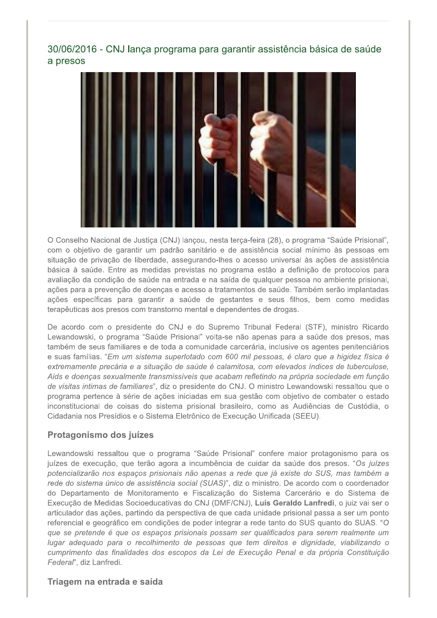## 30/06/2016 - CNJ lança programa para garantir assistência básica de saúde a presos



O Conselho Nacional de Justiça (CNJ) lançou, nesta terça-feira (28), o programa "Saúde Prisional", com o objetivo de garantir um padrão sanitário e de assistência social mínimo às pessoas em situação de privação de liberdade, assegurando-lhes o acesso universal às ações de assistência básica à saúde. Entre as medidas previstas no programa estão a definição de protocolos para avaliação da condição de saúde na entrada e na saída de qualquer pessoa no ambiente prisional, ações para a prevenção de doenças e acesso a tratamentos de saúde. Também serão implantadas ações específicas para garantir a saúde de gestantes e seus filhos, bem como medidas terapêuticas aos presos com transtorno mental e dependentes de drogas.

De acordo com o presidente do CNJ e do Supremo Tribunal Federal (STF), ministro Ricardo Lewandowski, o programa "Saúde Prisional" volta-se não apenas para a saúde dos presos, mas também de seus familiares e de toda a comunidade carcerária, inclusive os agentes penitenciários e suas famílias. "Em um sistema superlotado com 600 mil pessoas, é claro que a higidez física é extremamente precária e a situação de saúde é calamitosa, com elevados índices de tuberculose, Aids e doencas sexualmente transmissíveis que acabam refletindo na própria sociedade em função de visitas intimas de familiares", diz o presidente do CNJ. O ministro Lewandowski ressaltou que o programa pertence à série de ações iniciadas em sua gestão com objetivo de combater o estado inconstitucional de coisas do sistema prisional brasileiro, como as Audiências de Custódia, o Cidadania nos Presídios e o Sistema Eletrônico de Execução Unificada (SEEU).

#### Protagonismo dos juízes

Lewandowski ressaltou que o programa "Saúde Prisional" confere maior protagonismo para os juízes de execução, que terão agora a incumbência de cuidar da saúde dos presos. "Os juízes potencializarão nos espaços prisionais não apenas a rede que já existe do SUS, mas também a rede do sistema único de assistência social (SUAS)", diz o ministro. De acordo com o coordenador do Departamento de Monitoramento e Fiscalização do Sistema Carcerário e do Sistema de Execução de Medidas Socioeducativas do CNJ (DMF/CNJ), Luís Geraldo Lanfredi, o juiz vai ser o articulador das ações, partindo da perspectiva de que cada unidade prisional passa a ser um ponto referencial e geográfico em condições de poder integrar a rede tanto do SUS quanto do SUAS. "O que se pretende é que os espaços prisionais possam ser qualificados para serem realmente um lugar adequado para o recolhimento de pessoas que tem direitos e dignidade, viabilizando o cumprimento das finalidades dos escopos da Lei de Execução Penal e da própria Constituição Federal", diz Lanfredi.

#### Triagem na entrada e saída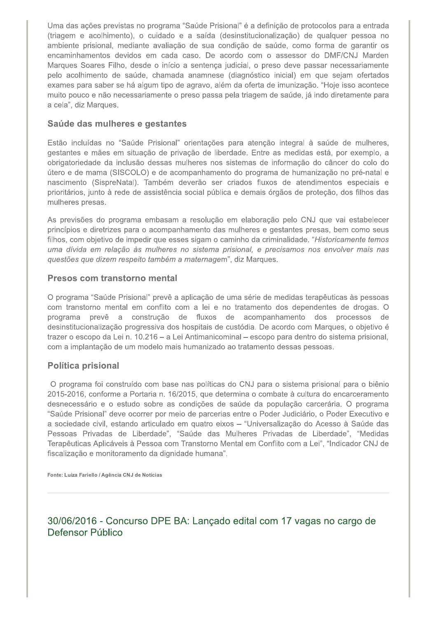Uma das ações previstas no programa "Saúde Prisional" é a definição de protocolos para a entrada (triagem e acolhimento), o cuidado e a saída (desinstitucionalização) de qualquer pessoa no ambiente prisional, mediante avaliação de sua condição de saúde, como forma de garantir os encaminhamentos devidos em cada caso. De acordo com o assessor do DMF/CNJ Marden Marques Soares Filho, desde o início a sentença judicial, o preso deve passar necessariamente pelo acolhimento de saúde, chamada anamnese (diagnóstico inicial) em que sejam ofertados exames para saber se há algum tipo de agravo, além da oferta de imunização. "Hoje isso acontece muito pouco e não necessariamente o preso passa pela triagem de saúde, já indo diretamente para a cela", diz Marques.

#### Saúde das mulheres e gestantes

Estão incluídas no "Saúde Prisional" orientações para atenção integral à saúde de mulheres, gestantes e mães em situação de privação de liberdade. Entre as medidas está, por exemplo, a obrigatoriedade da inclusão dessas mulheres nos sistemas de informação do câncer do colo do útero e de mama (SISCOLO) e de acompanhamento do programa de humanização no pré-natal e nascimento (SispreNatal). Também deverão ser criados fluxos de atendimentos especiais e prioritários, junto à rede de assistência social pública e demais órgãos de proteção, dos filhos das mulheres presas.

As previsões do programa embasam a resolução em elaboração pelo CNJ que vai estabelecer princípios e diretrizes para o acompanhamento das mulheres e gestantes presas, bem como seus filhos, com objetivo de impedir que esses sigam o caminho da criminalidade. "Historicamente temos uma dívida em relação às mulheres no sistema prisional, e precisamos nos envolver mais nas questões que dizem respeito também a maternagem", diz Marques.

#### Presos com transtorno mental

O programa "Saúde Prisional" prevê a aplicação de uma série de medidas terapêuticas às pessoas com transtorno mental em conflito com a lei e no tratamento dos dependentes de drogas. O programa prevê a construção de fluxos de acompanhamento dos processos de desinstitucionalização progressiva dos hospitais de custódia. De acordo com Margues, o objetivo é trazer o escopo da Lei n. 10.216 – a Lei Antimanicominal – escopo para dentro do sistema prisional, com a implantação de um modelo mais humanizado ao tratamento dessas pessoas.

#### **Política prisional**

O programa foi construído com base nas políticas do CNJ para o sistema prisional para o biênio 2015-2016, conforme a Portaria n. 16/2015, que determina o combate à cultura do encarceramento desnecessário e o estudo sobre as condições de saúde da população carcerária. O programa "Saúde Prisional" deve ocorrer por meio de parcerias entre o Poder Judiciário, o Poder Executivo e a sociedade civil, estando articulado em quatro eixos - "Universalização do Acesso à Saúde das Pessoas Privadas de Liberdade", "Saúde das Mulheres Privadas de Liberdade", "Medidas Terapêuticas Aplicáveis à Pessoa com Transtorno Mental em Conflito com a Lei", "Indicador CNJ de fiscalização e monitoramento da dignidade humana".

Fonte: Luiza Fariello / Agência CNJ de Notícias

30/06/2016 - Concurso DPE BA: Lançado edital com 17 vagas no cargo de Defensor Público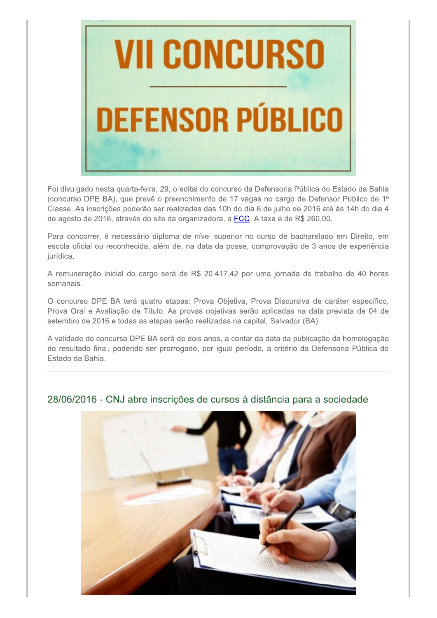

Foi divulgado nesta quarta-feira, 29, o edital do concurso da Defensoria Pública do Estado da Bahia (concurso DPE BA), que prevê o preenchimento de 17 vagas no cargo de Defensor Público de 1<sup>a</sup> Classe. As inscrições poderão ser realizadas das 10h do dia 6 de julho de 2016 até às 14h do dia 4 de agosto de 2016, através do site da organizadora, a FCC. A taxa é de R\$ 260,00.

Para concorrer, é necessário diploma de nível superior no curso de bacharelado em Direito, em escola oficial ou reconhecida, além de, na data da posse, comprovação de 3 anos de experiência jurídica.

A remuneração inicial do cargo será de R\$ 20.417,42 por uma jornada de trabalho de 40 horas semanais.

O concurso DPE BA terá quatro etapas: Prova Objetiva, Prova Discursiva de caráter específico, Prova Oral e Avaliação de Título. As provas objetivas serão aplicadas na data prevista de 04 de setembro de 2016 e todas as etapas serão realizadas na capital, Salvador (BA).

A validade do concurso DPE BA será de dois anos, a contar da data da publicação da homologação do resultado final, podendo ser prorrogado, por igual período, a critério da Defensoria Pública do Estado da Bahia.

### 28/06/2016 - CNJ abre inscrições de cursos à distância para a sociedade

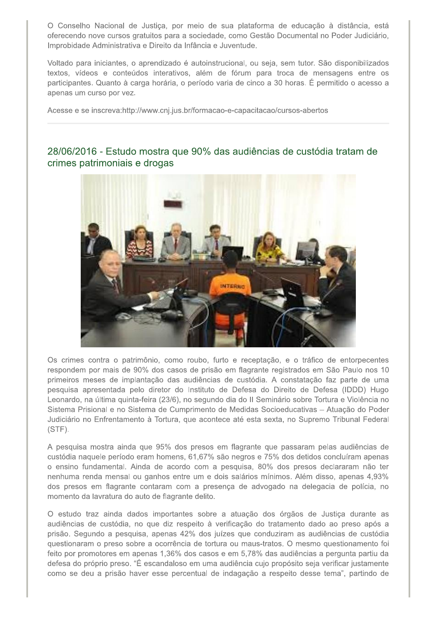O Conselho Nacional de Justiça, por meio de sua plataforma de educação à distância, está oferecendo nove cursos gratuitos para a sociedade, como Gestão Documental no Poder Judiciário, Improbidade Administrativa e Direito da Infância e Juventude.

Voltado para iniciantes, o aprendizado é autoinstrucional, ou seja, sem tutor. São disponibilizados textos, vídeos e conteúdos interativos, além de fórum para troca de mensagens entre os participantes. Quanto à carga horária, o período varia de cinco a 30 horas. É permitido o acesso a apenas um curso por vez.

Acesse e se inscreva:http://www.cnj.jus.br/formacao-e-capacitacao/cursos-abertos

### 28/06/2016 - Estudo mostra que 90% das audiências de custódia tratam de crimes patrimoniais e drogas



Os crimes contra o patrimônio, como roubo, furto e receptação, e o tráfico de entorpecentes respondem por mais de 90% dos casos de prisão em flagrante registrados em São Paulo nos 10 primeiros meses de implantação das audiências de custódia. A constatação faz parte de uma pesquisa apresentada pelo diretor do Instituto de Defesa do Direito de Defesa (IDDD) Hugo Leonardo, na última quinta-feira (23/6), no segundo dia do II Seminário sobre Tortura e Violência no Sistema Prisional e no Sistema de Cumprimento de Medidas Socioeducativas - Atuação do Poder Judiciário no Enfrentamento à Tortura, que acontece até esta sexta, no Supremo Tribunal Federal  $(STF)$ .

A pesquisa mostra ainda que 95% dos presos em flagrante que passaram pelas audiências de custódia naquele período eram homens, 61,67% são negros e 75% dos detidos concluíram apenas o ensino fundamental. Ainda de acordo com a pesquisa, 80% dos presos declararam não ter nenhuma renda mensal ou ganhos entre um e dois salários mínimos. Além disso, apenas 4,93% dos presos em flagrante contaram com a presença de advogado na delegacia de polícia, no momento da lavratura do auto de flagrante delito.

O estudo traz ainda dados importantes sobre a atuação dos órgãos de Justiça durante as audiências de custódia, no que diz respeito à verificação do tratamento dado ao preso após a prisão. Segundo a pesquisa, apenas 42% dos juízes que conduziram as audiências de custódia questionaram o preso sobre a ocorrência de tortura ou maus-tratos. O mesmo questionamento foi feito por promotores em apenas 1,36% dos casos e em 5,78% das audiências a pergunta partiu da defesa do próprio preso. "É escandaloso em uma audiência cujo propósito seja verificar justamente como se deu a prisão haver esse percentual de indagação a respeito desse tema", partindo de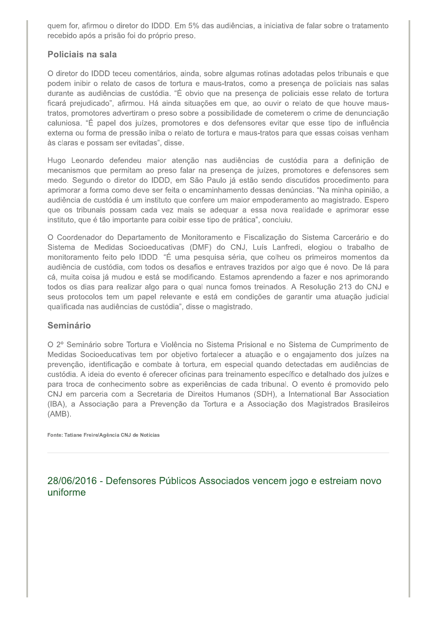quem for, afirmou o diretor do IDDD. Em 5% das audiências, a iniciativa de falar sobre o tratamento recebido após a prisão foi do próprio preso.

#### Policiais na sala

O diretor do IDDD teceu comentários, ainda, sobre algumas rotinas adotadas pelos tribunais e que podem inibir o relato de casos de tortura e maus-tratos, como a presença de policiais nas salas durante as audiências de custódia. "É obvio que na presença de policiais esse relato de tortura ficará prejudicado", afirmou. Há ainda situações em que, ao ouvir o relato de que houve maustratos, promotores advertiram o preso sobre a possibilidade de cometerem o crime de denunciação caluniosa. "É papel dos juízes, promotores e dos defensores evitar que esse tipo de influência externa ou forma de pressão iniba o relato de tortura e maus-tratos para que essas coisas venham às claras e possam ser evitadas", disse.

Hugo Leonardo defendeu maior atenção nas audiências de custódia para a definição de mecanismos que permitam ao preso falar na presença de juízes, promotores e defensores sem medo. Segundo o diretor do IDDD, em São Paulo já estão sendo discutidos procedimento para aprimorar a forma como deve ser feita o encaminhamento dessas denúncias. "Na minha opinião, a audiência de custódia é um instituto que confere um maior empoderamento ao magistrado. Espero que os tribunais possam cada vez mais se adequar a essa nova realidade e aprimorar esse instituto, que é tão importante para coibir esse tipo de prática", concluiu.

O Coordenador do Departamento de Monitoramento e Fiscalização do Sistema Carcerário e do Sistema de Medidas Socioeducativas (DMF) do CNJ, Luís Lanfredi, elogiou o trabalho de monitoramento feito pelo IDDD. "É uma pesquisa séria, que colheu os primeiros momentos da audiência de custódia, com todos os desafios e entraves trazidos por algo que é novo. De lá para cá, muita coisa já mudou e está se modificando. Estamos aprendendo a fazer e nos aprimorando todos os dias para realizar algo para o qual nunca fomos treinados. A Resolução 213 do CNJ e seus protocolos tem um papel relevante e está em condições de garantir uma atuação judicial qualificada nas audiências de custódia", disse o magistrado.

#### **Seminário**

O 2º Seminário sobre Tortura e Violência no Sistema Prisional e no Sistema de Cumprimento de Medidas Socioeducativas tem por objetivo fortalecer a atuação e o engajamento dos juízes na prevenção, identificação e combate à tortura, em especial quando detectadas em audiências de custódia. A ideia do evento é oferecer oficinas para treinamento específico e detalhado dos juízes e para troca de conhecimento sobre as experiências de cada tribunal. O evento é promovido pelo CNJ em parceria com a Secretaria de Direitos Humanos (SDH), a International Bar Association (IBA), a Associação para a Prevenção da Tortura e a Associação dos Magistrados Brasileiros  $(AMB)$ .

Fonte: Tatiane Freire/Agência CNJ de Notícias

28/06/2016 - Defensores Públicos Associados vencem jogo e estreiam novo uniforme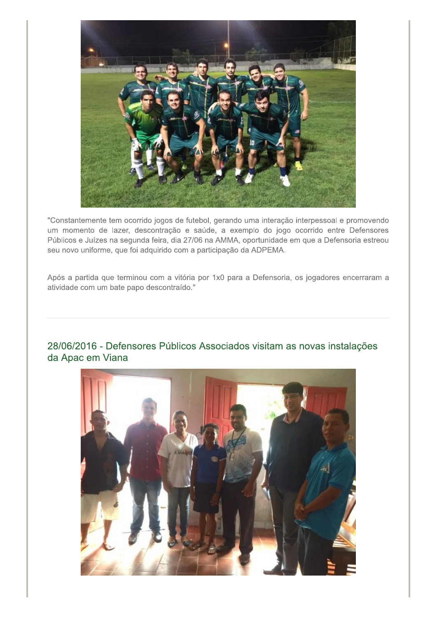

"Constantemente tem ocorrido jogos de futebol, gerando uma interação interpessoal e promovendo um momento de lazer, descontração e saúde, a exemplo do jogo ocorrido entre Defensores Públicos e Juízes na segunda feira, dia 27/06 na AMMA, oportunidade em que a Defensoria estreou seu novo uniforme, que foi adquirido com a participação da ADPEMA.

Após a partida que terminou com a vitória por 1x0 para a Defensoria, os jogadores encerraram a atividade com um bate papo descontraído."

## 28/06/2016 - Defensores Públicos Associados visitam as novas instalações da Apac em Viana